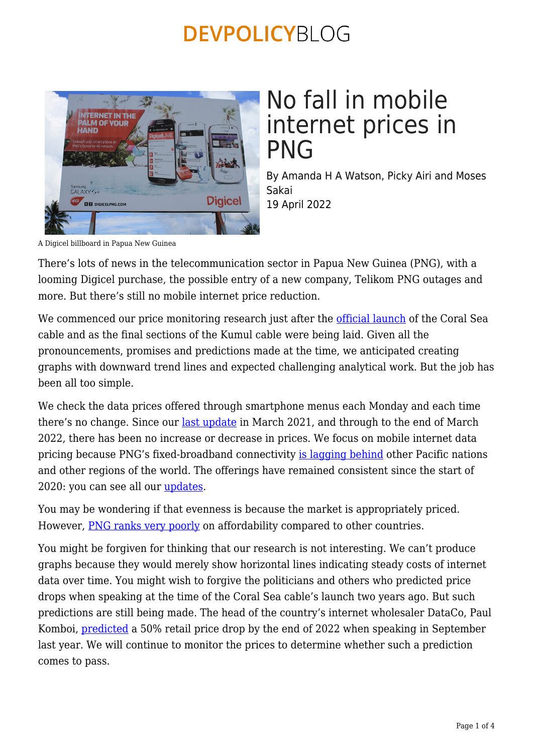

## No fall in mobile internet prices in PNG

By Amanda H A Watson, Picky Airi and Moses Sakai 19 April 2022

A Digicel billboard in Papua New Guinea

There's lots of news in the telecommunication sector in Papua New Guinea (PNG), with a looming Digicel purchase, the possible entry of a new company, Telikom PNG outages and more. But there's still no mobile internet price reduction.

We commenced our price monitoring research just after the [official launch](https://png.embassy.gov.au/pmsb/1148.html) of the Coral Sea cable and as the final sections of the Kumul cable were being laid. Given all the pronouncements, promises and predictions made at the time, we anticipated creating graphs with downward trend lines and expected challenging analytical work. But the job has been all too simple.

We check the data prices offered through smartphone menus each Monday and each time there's no change. Since our [last update](https://devpolicy.org/mobile-internet-prices-in-papua-new-guinea-still-no-downward-movement-20210318-1/) in March 2021, and through to the end of March 2022, there has been no increase or decrease in prices. We focus on mobile internet data pricing because PNG's fixed-broadband connectivity [is lagging behind](https://www.unescap.org/resources/broadband-connectivity-pacific-island-countries) other Pacific nations and other regions of the world. The offerings have remained consistent since the start of 2020: you can see all our [updates.](https://devpolicy.org/tag/png-mobile-internet-price-research/)

You may be wondering if that evenness is because the market is appropriately priced. However, [PNG ranks very poorly](https://documents.worldbank.org/en/publication/documents-reports/documentdetail/964591594230524376/papua-new-guinea-economic-update-in-the-time-of-covid-19-from-relief-to-recovery) on affordability compared to other countries.

You might be forgiven for thinking that our research is not interesting. We can't produce graphs because they would merely show horizontal lines indicating steady costs of internet data over time. You might wish to forgive the politicians and others who predicted price drops when speaking at the time of the Coral Sea cable's launch two years ago. But such predictions are still being made. The head of the country's internet wholesaler DataCo, Paul Komboi, [predicted](https://www.thenational.com.pg/internet-price-to-drop-by-50pc/) a 50% retail price drop by the end of 2022 when speaking in September last year. We will continue to monitor the prices to determine whether such a prediction comes to pass.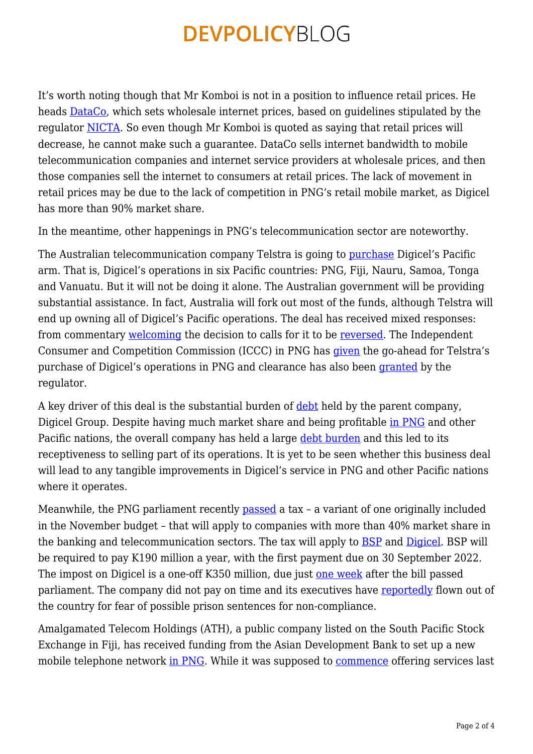It's worth noting though that Mr Komboi is not in a position to influence retail prices. He heads [DataCo,](https://pngdataco.com/) which sets wholesale internet prices, based on guidelines stipulated by the regulator [NICTA](https://www.nicta.gov.pg/). So even though Mr Komboi is quoted as saying that retail prices will decrease, he cannot make such a guarantee. DataCo sells internet bandwidth to mobile telecommunication companies and internet service providers at wholesale prices, and then those companies sell the internet to consumers at retail prices. The lack of movement in retail prices may be due to the lack of competition in PNG's retail mobile market, as Digicel has more than 90% market share.

In the meantime, other happenings in PNG's telecommunication sector are noteworthy.

The Australian telecommunication company Telstra is going to [purchase](https://www.abc.net.au/news/2021-10-25/telstra-digicel-pacific-telecommunications-deal-finalised/100564976) Digicel's Pacific arm. That is, Digicel's operations in six Pacific countries: PNG, Fiji, Nauru, Samoa, Tonga and Vanuatu. But it will not be doing it alone. The Australian government will be providing substantial assistance. In fact, Australia will fork out most of the funds, although Telstra will end up owning all of Digicel's Pacific operations. The deal has received mixed responses: from commentary [welcoming](https://www.onlineopinion.com.au/view.asp?article=21689&page=1) the decision to calls for it to be [reversed](https://devpolicy.org/australia-buys-digicel-pacific-pngs-mobile-monopoly-20211026/). The Independent Consumer and Competition Commission (ICCC) in PNG has [given](https://www.looppng.com/png-news/iccc-approves-telstra-buyout-digicel-pacific-109900) the go-ahead for Telstra's purchase of Digicel's operations in PNG and clearance has also been [granted](https://www.looppng.com/png-news/minister-ict-welcomes-nicta-decision-telstra-acquisition-digicel-110567) by the regulator.

A key driver of this deal is the substantial burden of [debt](https://www.aspistrategist.org.au/australia-should-step-up-ahead-of-pacific-telcos-possible-sale/) held by the parent company, Digicel Group. Despite having much market share and being profitable [in PNG](https://www.lowyinstitute.org/the-interpreter/debt-threatens-digicel-s-pacific-dominance) and other Pacific nations, the overall company has held a large [debt burden](https://postcourier.com.pg/questions-remain-about-what-telstra-digicel-deal-will-mean-for-png-consumers/) and this led to its receptiveness to selling part of its operations. It is yet to be seen whether this business deal will lead to any tangible improvements in Digicel's service in PNG and other Pacific nations where it operates.

Meanwhile, the PNG parliament recently [passed](https://postcourier.com.pg/company-tax-approved/) a tax – a variant of one originally included in the November budget – that will apply to companies with more than 40% market share in the banking and telecommunication sectors. The tax will apply to [BSP](https://www.bsp.com.pg/about-us/) and [Digicel](https://www.digicelgroup.com/pg/en.html). BSP will be required to pay K190 million a year, with the first payment due on 30 September 2022. The impost on Digicel is a one-off K350 million, due just [one week](https://www.afr.com/companies/telecommunications/png-super-tax-disrupts-telstra-digicel-deal-20220403-p5aagi) after the bill passed parliament. The company did not pay on time and its executives have [reportedly](https://www.afr.com/politics/federal/digicel-executives-flee-png-to-avoid-jail-20220405-p5aax7) flown out of the country for fear of possible prison sentences for non-compliance.

Amalgamated Telecom Holdings (ATH), a public company listed on the South Pacific Stock Exchange in Fiji, has received funding from the Asian Development Bank to set up a new mobile telephone network [in PNG](https://www.fijitimes.com/ath-and-adb-execute-investment-agreement-for-png-telecommunication-project/). While it was supposed to [commence](https://kalangfm.com/news/third-mobile-network-operator-to-enter-png-market-1282) offering services last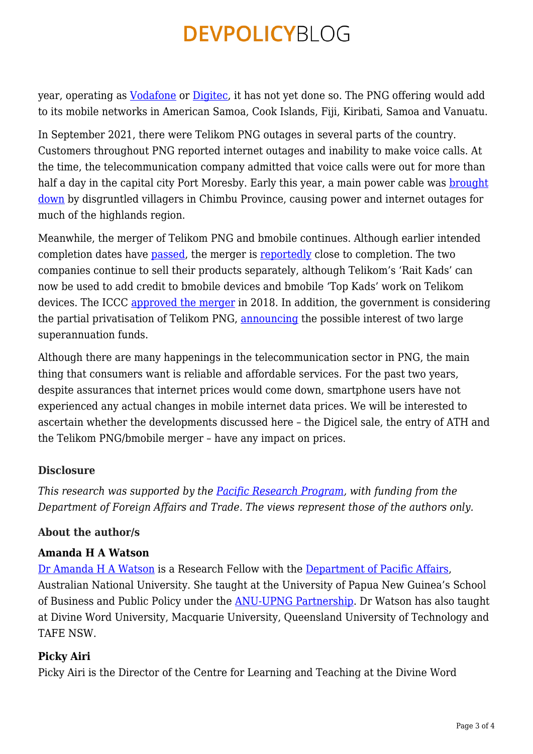year, operating as [Vodafone](https://vodafone.com.pg/about/) or [Digitec,](https://fijisun.com.fj/2021/03/31/our-ath-set-to-launch-vodafone-in-png/) it has not yet done so. The PNG offering would add to its mobile networks in American Samoa, Cook Islands, Fiji, Kiribati, Samoa and Vanuatu.

In September 2021, there were Telikom PNG outages in several parts of the country. Customers throughout PNG reported internet outages and inability to make voice calls. At the time, the telecommunication company admitted that voice calls were out for more than half a day in the capital city Port Moresby. Early this year, a main power cable was [brought](https://postcourier.com.pg/indefinite-power-cut/) [down](https://postcourier.com.pg/indefinite-power-cut/) by disgruntled villagers in Chimbu Province, causing power and internet outages for much of the highlands region.

Meanwhile, the merger of Telikom PNG and bmobile continues. Although earlier intended completion dates have [passed,](https://developingtelecoms.com/telecom-business/operator-news/11899-long-awaited-telikom-png-and-bmobile-merger-to-close-this-month.html) the merger is [reportedly](https://postcourier.com.pg/telco-merger-to-be-completed/) close to completion. The two companies continue to sell their products separately, although Telikom's 'Rait Kads' can now be used to add credit to bmobile devices and bmobile 'Top Kads' work on Telikom devices. The ICCC [approved the merger](https://postcourier.com.pg/telikom-png-limited-dataco-merger-granted/) in 2018. In addition, the government is considering the partial privatisation of Telikom PNG, [announcing](https://www.thenational.com.pg/superfunds-to-invest-in-telikom/) the possible interest of two large superannuation funds.

Although there are many happenings in the telecommunication sector in PNG, the main thing that consumers want is reliable and affordable services. For the past two years, despite assurances that internet prices would come down, smartphone users have not experienced any actual changes in mobile internet data prices. We will be interested to ascertain whether the developments discussed here – the Digicel sale, the entry of ATH and the Telikom PNG/bmobile merger – have any impact on prices.

### **Disclosure**

*This research was supported by the [Pacific Research Program](https://devpolicy.crawford.anu.edu.au/pacific-research-program), with funding from the Department of Foreign Affairs and Trade. The views represent those of the authors only.*

#### **About the author/s**

#### **Amanda H A Watson**

[Dr Amanda H A Watson](http://dpa.bellschool.anu.edu.au/experts-publications/experts/amanda-watson) is a Research Fellow with the [Department of Pacific Affairs](http://dpa.bellschool.anu.edu.au/), Australian National University. She taught at the University of Papua New Guinea's School of Business and Public Policy under the [ANU-UPNG Partnership.](https://devpolicy.crawford.anu.edu.au/png-project/anu-upng-partnership) Dr Watson has also taught at Divine Word University, Macquarie University, Queensland University of Technology and TAFE NSW.

### **Picky Airi**

Picky Airi is the Director of the Centre for Learning and Teaching at the Divine Word